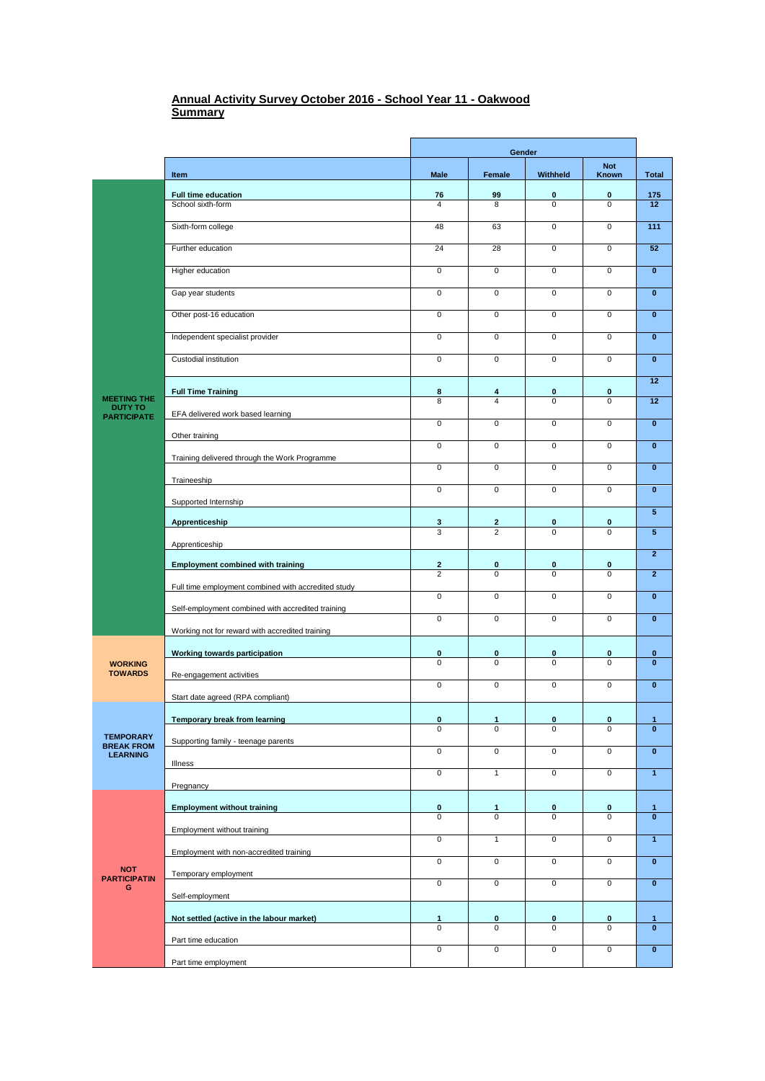## **Annual Activity Survey October 2016 - School Year 11 - Oakwood Summary**

 $\blacksquare$ 

|                                        |                                                     | Gender                   |                                |                             |                             |                          |
|----------------------------------------|-----------------------------------------------------|--------------------------|--------------------------------|-----------------------------|-----------------------------|--------------------------|
|                                        | Item                                                | Male                     | Female                         | Withheld                    | <b>Not</b><br>Known         | <b>Total</b>             |
|                                        | Full time education                                 | 76                       | 99                             | $\bf{0}$                    | $\bf{0}$                    | 175                      |
|                                        | School sixth-form                                   | $\overline{4}$           | 8                              | $\mathbf 0$                 | $\mathbf 0$                 | 12                       |
|                                        | Sixth-form college                                  | 48                       | 63                             | $\mathbf 0$                 | $\mathsf 0$                 | 111                      |
|                                        | Further education                                   | 24                       | 28                             | $\overline{0}$              | $\overline{0}$              | 52                       |
|                                        | Higher education                                    | $\mathbf 0$              | $\mathbf 0$                    | $\mathbf 0$                 | $\mathbf 0$                 | $\mathbf{0}$             |
|                                        | Gap year students                                   | $\pmb{0}$                | 0                              | 0                           | $\pmb{0}$                   | $\bf{0}$                 |
|                                        | Other post-16 education                             | $\pmb{0}$                | $\pmb{0}$                      | $\mathsf{O}\xspace$         | $\mathsf 0$                 | $\pmb{0}$                |
|                                        | Independent specialist provider                     | $\overline{0}$           | $\overline{0}$                 | $\overline{0}$              | $\overline{0}$              | $\overline{\mathbf{0}}$  |
|                                        | Custodial institution                               | $\pmb{0}$                | 0                              | $\mathbf 0$                 | $\mathsf 0$                 | $\pmb{0}$                |
|                                        | <b>Full Time Training</b>                           | 8                        | 4                              | 0                           | 0                           | 12                       |
| <b>MEETING THE</b><br>DUTY TO          |                                                     | 8                        | $\overline{\mathbf{4}}$        | $\Omega$                    | $\mathbf 0$                 | 12                       |
| <b>PARTICIPATE</b>                     | EFA delivered work based learning                   | $\overline{0}$           | $\mathbf 0$                    | $\mathbf 0$                 | $\mathsf 0$                 | $\overline{0}$           |
|                                        | Other training                                      | $\pmb{0}$                | $\pmb{0}$                      | $\mathbf 0$                 | $\mathsf 0$                 | $\pmb{0}$                |
|                                        | Training delivered through the Work Programme       | $\overline{0}$           | $\overline{0}$                 | $\overline{0}$              | $\overline{0}$              | $\overline{0}$           |
|                                        | Traineeship                                         | $\pmb{0}$                | 0                              | $\mathbf 0$                 | $\mathsf 0$                 | $\pmb{0}$                |
|                                        | Supported Internship                                |                          |                                |                             |                             | $5\overline{5}$          |
|                                        | Apprenticeship                                      | 3<br>3                   | $\mathbf{2}$<br>$\overline{2}$ | $\pmb{0}$<br>$\overline{0}$ | $\pmb{0}$<br>$\overline{0}$ | $5\overline{5}$          |
|                                        | Apprenticeship                                      |                          |                                |                             |                             |                          |
|                                        | <b>Employment combined with training</b>            | $\overline{\mathbf{2}}$  | $\pmb{0}$                      | $\bf{0}$                    | $\bf{0}$                    | $\overline{2}$           |
|                                        | Full time employment combined with accredited study | $\overline{2}$           | $\mathbf 0$                    | $\mathbf 0$                 | 0                           | $\overline{2}$           |
|                                        | Self-employment combined with accredited training   | $\pmb{0}$                | $\mathbf 0$                    | $\mathbf 0$                 | $\mathsf 0$                 | $\mathbf{0}$             |
|                                        | Working not for reward with accredited training     | $\pmb{0}$                | $\pmb{0}$                      | $\mathsf{O}\xspace$         | $\mathsf 0$                 | $\pmb{0}$                |
|                                        |                                                     |                          |                                |                             |                             |                          |
| <b>WORKING</b>                         | Working towards participation                       | $\pmb{0}$<br>$\mathbf 0$ | 0<br>0                         | $\pmb{0}$<br>$\mathbf 0$    | $\bf{0}$<br>$\mathbf 0$     | $\bf{0}$<br>$\mathbf{0}$ |
| <b>TOWARDS</b>                         | Re-engagement activities                            | $\overline{0}$           | $\mathbf 0$                    | $\mathbf 0$                 | $\mathsf 0$                 | $\overline{\mathbf{0}}$  |
|                                        | Start date agreed (RPA compliant)                   |                          |                                |                             |                             |                          |
|                                        | <b>Temporary break from learning</b>                | $\pmb{0}$                | $\blacktriangleleft$           | $\pmb{0}$                   | 0                           |                          |
| <b>TEMPORARY</b><br><b>BREAK FROM</b>  | Supporting family - teenage parents                 | 0                        | 0                              | 0                           | 0                           | $\pmb{0}$                |
| <b>LEARNING</b>                        | Illness                                             | $\overline{0}$           | $\overline{0}$                 | $\mathbf 0$                 | $\mathsf{O}\xspace$         | $\overline{\mathbf{0}}$  |
|                                        | Pregnancy                                           | $\pmb{0}$                | $\mathbf{1}$                   | $\mathbf 0$                 | $\mathsf 0$                 | $\mathbf{1}$             |
|                                        | <b>Employment without training</b>                  | $\pmb{0}$                | 1                              | $\mathbf 0$                 | 0                           | $\mathbf{1}$             |
| <b>NOT</b><br><b>PARTICIPATIN</b><br>G | Employment without training                         | $\mathbf 0$              | $\mathbf 0$                    | $\mathbf 0$                 | $\mathbf 0$                 | $\mathbf{0}$             |
|                                        | Employment with non-accredited training             | $\overline{0}$           | $\overline{1}$                 | $\overline{0}$              | $\mathsf{O}\xspace$         | $\overline{1}$           |
|                                        | Temporary employment                                | $\overline{0}$           | 0                              | $\mathbf 0$                 | $\mathsf 0$                 | $\overline{\mathbf{0}}$  |
|                                        | Self-employment                                     | $\pmb{0}$                | $\mathbf 0$                    | $\mathbf 0$                 | $\mathsf 0$                 | $\mathbf{0}$             |
|                                        | Not settled (active in the labour market)           | $\mathbf{1}$             | 0                              | $\mathbf 0$                 | 0                           | $\mathbf{1}$             |
|                                        | Part time education                                 | $\mathbf 0$              | $\mathbf 0$                    | 0                           | 0                           | $\mathbf{0}$             |
|                                        | Part time employment                                | $\pmb{0}$                | 0                              | 0                           | $\mathsf 0$                 | $\mathbf{0}$             |
|                                        |                                                     |                          |                                |                             |                             |                          |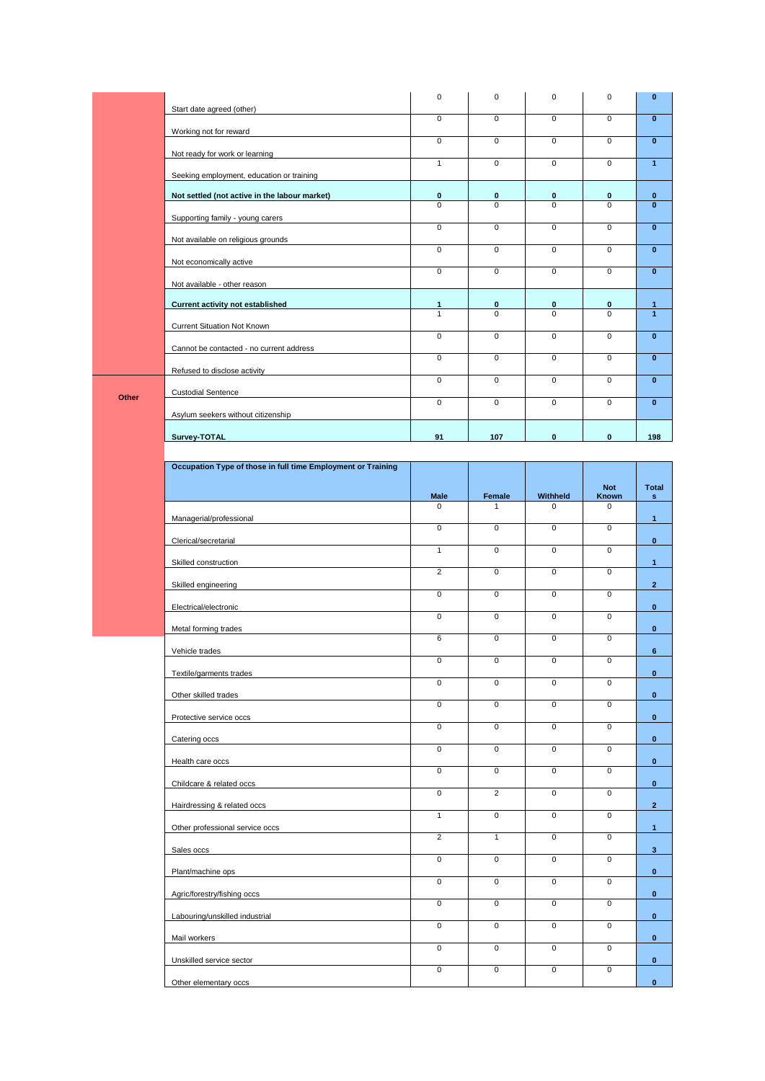|       |                                               | $\mathbf 0$    | $\mathbf 0$              | 0                        | $\mathbf 0$              | $\bf{0}$             |
|-------|-----------------------------------------------|----------------|--------------------------|--------------------------|--------------------------|----------------------|
|       | Start date agreed (other)                     |                |                          |                          |                          |                      |
|       |                                               | $\Omega$       | $\Omega$                 | $\Omega$                 | $\Omega$                 | $\mathbf{0}$         |
|       | Working not for reward                        | $\mathbf 0$    | $\mathbf 0$              | $\mathbf 0$              | $\mathbf 0$              | $\mathbf{0}$         |
|       | Not ready for work or learning                |                |                          |                          |                          |                      |
|       |                                               | $\mathbf{1}$   | $\Omega$                 | $\Omega$                 | $\Omega$                 | $\mathbf{1}$         |
|       | Seeking employment, education or training     |                |                          |                          |                          |                      |
|       |                                               |                |                          |                          |                          |                      |
|       | Not settled (not active in the labour market) | 0<br>$\Omega$  | $\mathbf{0}$<br>$\Omega$ | $\mathbf{0}$<br>$\Omega$ | $\mathbf{0}$<br>$\Omega$ | $\bf{0}$<br>$\bf{0}$ |
|       | Supporting family - young carers              |                |                          |                          |                          |                      |
|       |                                               | $\mathbf 0$    | $\mathbf 0$              | $\mathbf 0$              | $\mathbf 0$              | $\bf{0}$             |
|       | Not available on religious grounds            |                |                          |                          |                          |                      |
|       |                                               | $\overline{0}$ | $\overline{0}$           | $\overline{0}$           | $\Omega$                 | $\overline{0}$       |
|       | Not economically active                       | $\overline{0}$ | $\overline{0}$           | $\overline{0}$           | $\Omega$                 | $\overline{0}$       |
|       | Not available - other reason                  |                |                          |                          |                          |                      |
|       |                                               |                |                          |                          |                          |                      |
|       | <b>Current activity not established</b>       | 1              | 0                        | 0                        | 0                        | 1                    |
|       |                                               | $\mathbf{1}$   | $\Omega$                 | $\Omega$                 | $\Omega$                 | $\blacktriangleleft$ |
|       | <b>Current Situation Not Known</b>            |                |                          |                          |                          |                      |
|       |                                               | $\mathbf 0$    | $\mathbf 0$              | $\mathbf 0$              | $\mathbf 0$              | $\mathbf{0}$         |
|       | Cannot be contacted - no current address      | $\mathbf 0$    | $\overline{0}$           | $\mathbf 0$              | $\mathbf 0$              | $\mathbf{0}$         |
|       | Refused to disclose activity                  |                |                          |                          |                          |                      |
|       |                                               | $\mathbf 0$    | $\mathbf 0$              | $\mathbf 0$              | $\mathbf 0$              | $\mathbf{0}$         |
| Other | <b>Custodial Sentence</b>                     |                |                          |                          |                          |                      |
|       |                                               | $\Omega$       | $\Omega$                 | $\Omega$                 | $\Omega$                 | $\mathbf{0}$         |
|       | Asylum seekers without citizenship            |                |                          |                          |                          |                      |
|       | Survey-TOTAL                                  | 91             | 107                      | $\bf{0}$                 | $\bf{0}$                 | 198                  |
|       |                                               |                |                          |                          |                          |                      |

| Occupation Type of those in full time Employment or Training |                |                |                |                |                |
|--------------------------------------------------------------|----------------|----------------|----------------|----------------|----------------|
|                                                              |                |                |                | <b>Not</b>     | <b>Total</b>   |
|                                                              | Male           | Female         | Withheld       | Known          | s              |
|                                                              | $\Omega$       | $\overline{1}$ | $\overline{0}$ | $\overline{0}$ |                |
| Managerial/professional                                      | $\Omega$       | $\Omega$       | $\Omega$       | $\Omega$       | $\mathbf{1}$   |
| Clerical/secretarial                                         |                |                |                |                | $\mathbf{0}$   |
|                                                              | $\mathbf{1}$   | $\mathbf 0$    | $\mathbf 0$    | $\Omega$       |                |
| Skilled construction                                         |                |                |                |                | $\mathbf{1}$   |
|                                                              | $\overline{2}$ | $\mathbf 0$    | $\mathbf 0$    | $\mathbf 0$    |                |
| Skilled engineering                                          |                |                |                |                | $\overline{2}$ |
|                                                              | $\mathbf 0$    | 0              | $\mathbf 0$    | $\mathbf 0$    |                |
| Electrical/electronic                                        | $\mathbf 0$    | 0              | $\mathbf 0$    | $\mathbf 0$    | $\mathbf{0}$   |
| Metal forming trades                                         |                |                |                |                | $\mathbf{0}$   |
|                                                              | 6              | $\mathbf 0$    | $\mathbf 0$    | $\mathbf 0$    |                |
| Vehicle trades                                               |                |                |                |                | 6              |
|                                                              | $\overline{0}$ | $\overline{0}$ | $\overline{0}$ | $\overline{0}$ |                |
| Textile/garments trades                                      |                |                |                |                | $\mathbf 0$    |
|                                                              | $\overline{0}$ | 0              | $\overline{0}$ | $\overline{0}$ |                |
| Other skilled trades                                         | $\Omega$       | $\overline{0}$ | $\overline{0}$ | $\overline{0}$ | $\mathbf{0}$   |
| Protective service occs                                      |                |                |                |                | $\mathbf{0}$   |
|                                                              | $\Omega$       | $\Omega$       | $\overline{0}$ | $\overline{0}$ |                |
| Catering occs                                                |                |                |                |                | $\mathbf{0}$   |
|                                                              | $\mathbf 0$    | $\mathbf 0$    | $\mathbf 0$    | $\mathbf 0$    |                |
| Health care occs                                             |                |                |                |                | $\mathbf{0}$   |
|                                                              | $\overline{0}$ | 0              | $\mathbf 0$    | $\Omega$       |                |
| Childcare & related occs                                     | $\Omega$       | $\overline{2}$ | $\mathbf 0$    | $\Omega$       | $\mathbf{0}$   |
| Hairdressing & related occs                                  |                |                |                |                | $\overline{2}$ |
|                                                              | $\mathbf{1}$   | $\overline{0}$ | $\overline{0}$ | $\Omega$       |                |
| Other professional service occs                              |                |                |                |                | $\mathbf{1}$   |
|                                                              | $\overline{2}$ | $\overline{1}$ | $\mathbf 0$    | $\mathbf 0$    |                |
| Sales occs                                                   |                |                |                |                | 3              |
|                                                              | $\overline{0}$ | $\overline{0}$ | $\overline{0}$ | $\overline{0}$ |                |
| Plant/machine ops                                            | $\overline{0}$ | $\overline{0}$ | $\overline{0}$ | $\overline{0}$ | $\mathbf{0}$   |
| Agric/forestry/fishing occs                                  |                |                |                |                | $\bf{0}$       |
|                                                              | $\overline{0}$ | $\overline{0}$ | $\overline{0}$ | $\overline{0}$ |                |
| Labouring/unskilled industrial                               |                |                |                |                | $\mathbf{0}$   |
|                                                              | $\overline{0}$ | $\overline{0}$ | $\mathbf 0$    | $\Omega$       |                |
| Mail workers                                                 |                |                |                |                | $\mathbf{0}$   |
|                                                              | $\mathbf 0$    | $\mathbf 0$    | $\mathbf 0$    | $\mathbf 0$    |                |
| Unskilled service sector                                     | $\mathbf 0$    | 0              | $\mathbf 0$    | $\mathbf 0$    | $\bf{0}$       |
| Other elementary occs                                        |                |                |                |                | $\mathbf{0}$   |
|                                                              |                |                |                |                |                |